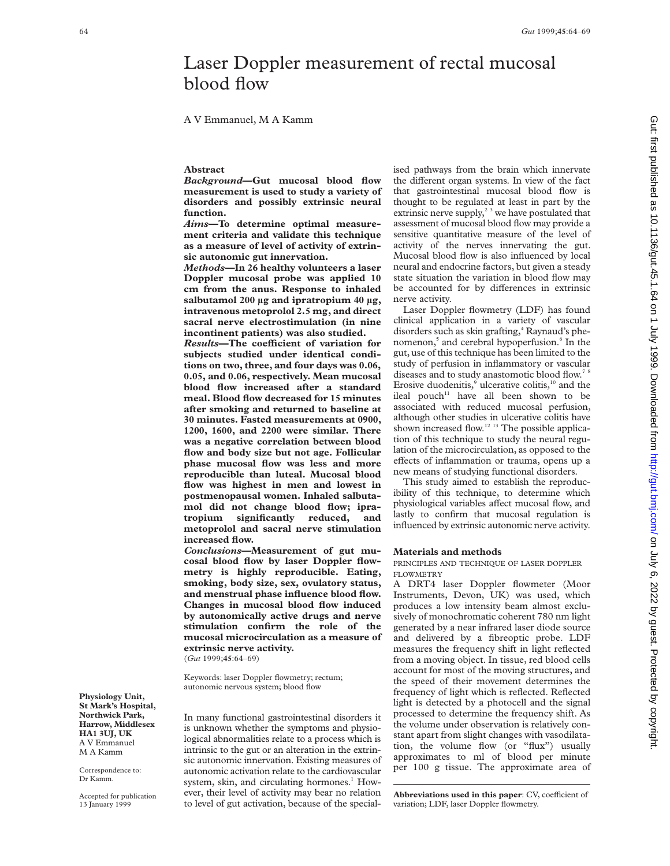# Laser Doppler measurement of rectal mucosal blood flow

A V Emmanuel, M A Kamm

## **Abstract**

*Background***—Gut mucosal blood flow measurement is used to study a variety of disorders and possibly extrinsic neural function.**

*Aims***—To determine optimal measurement criteria and validate this technique as a measure of level of activity of extrinsic autonomic gut innervation.**

*Methods***—In 26 healthy volunteers a laser Doppler mucosal probe was applied 10 cm from the anus. Response to inhaled salbutamol 200 µg and ipratropium 40 µg, intravenous metoprolol 2.5 mg, and direct sacral nerve electrostimulation (in nine incontinent patients) was also studied.**

 $Results$ **-The coefficient of variation for subjects studied under identical conditions on two, three, and four days was 0.06, 0.05, and 0.06, respectively. Mean mucosal blood flow increased after a standard meal. Blood flow decreased for 15 minutes after smoking and returned to baseline at 30 minutes. Fasted measurements at 0900, 1200, 1600, and 2200 were similar. There was a negative correlation between blood flow and body size but not age. Follicular phase mucosal flow was less and more reproducible than luteal. Mucosal blood flow was highest in men and lowest in postmenopausal women. Inhaled salbutamol did not change blood flow; ipratropium significantly reduced, and metoprolol and sacral nerve stimulation increased flow.**

*Conclusions***—Measurement of gut mucosal blood flow by laser Doppler flowmetry is highly reproducible. Eating, smoking, body size, sex, ovulatory status, and menstrual phase influence blood flow. Changes in mucosal blood flow induced by autonomically active drugs and nerve stimulation confirm the role of the mucosal microcirculation as a measure of extrinsic nerve activity.** (*Gut* 1999;**45**:64–69)

Keywords: laser Doppler flowmetry; rectum; autonomic nervous system; blood flow

In many functional gastrointestinal disorders it is unknown whether the symptoms and physiological abnormalities relate to a process which is intrinsic to the gut or an alteration in the extrinsic autonomic innervation. Existing measures of autonomic activation relate to the cardiovascular system, skin, and circulating hormones.<sup>1</sup> However, their level of activity may bear no relation to level of gut activation, because of the specialised pathways from the brain which innervate the different organ systems. In view of the fact that gastrointestinal mucosal blood flow is thought to be regulated at least in part by the extrinsic nerve supply, $2<sup>3</sup>$  we have postulated that assessment of mucosal blood flow may provide a sensitive quantitative measure of the level of activity of the nerves innervating the gut. Mucosal blood flow is also influenced by local neural and endocrine factors, but given a steady state situation the variation in blood flow may be accounted for by differences in extrinsic nerve activity.

Laser Doppler flowmetry (LDF) has found clinical application in a variety of vascular disorders such as skin grafting,<sup>4</sup> Raynaud's phenomenon,<sup>5</sup> and cerebral hypoperfusion.<sup>6</sup> In the gut, use of this technique has been limited to the study of perfusion in inflammatory or vascular diseases and to study anastomotic blood flow.<sup>78</sup> Erosive duodenitis,<sup>9</sup> ulcerative colitis,<sup>10</sup> and the ileal pouch $11$  have all been shown to be associated with reduced mucosal perfusion, although other studies in ulcerative colitis have shown increased flow.<sup>12 13</sup> The possible application of this technique to study the neural regulation of the microcirculation, as opposed to the effects of inflammation or trauma, opens up a new means of studying functional disorders.

This study aimed to establish the reproducibility of this technique, to determine which physiological variables affect mucosal flow, and lastly to confirm that mucosal regulation is influenced by extrinsic autonomic nerve activity.

## **Materials and methods**

PRINCIPLES AND TECHNIQUE OF LASER DOPPLER FLOWMETRY

A DRT4 laser Doppler flowmeter (Moor Instruments, Devon, UK) was used, which produces a low intensity beam almost exclusively of monochromatic coherent 780 nm light generated by a near infrared laser diode source and delivered by a fibreoptic probe. LDF measures the frequency shift in light reflected from a moving object. In tissue, red blood cells account for most of the moving structures, and the speed of their movement determines the frequency of light which is reflected. Reflected light is detected by a photocell and the signal processed to determine the frequency shift. As the volume under observation is relatively constant apart from slight changes with vasodilatation, the volume flow (or "flux") usually approximates to ml of blood per minute per 100 g tissue. The approximate area of

**Abbreviations used in this paper**: CV, coefficient of variation; LDF, laser Doppler flowmetry.

Correspondence to: Dr Kamm.

Accepted for publication 13 January 1999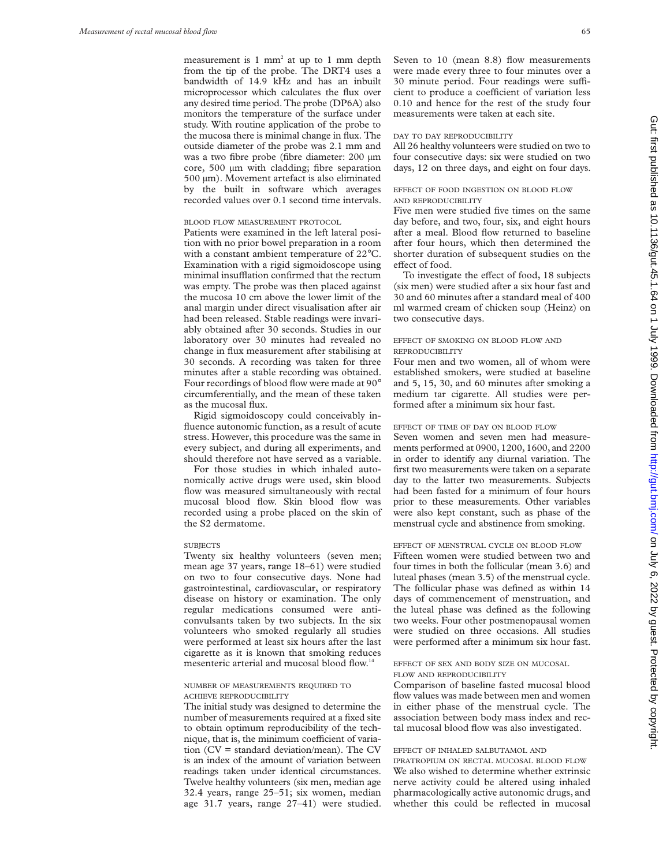measurement is  $1 \text{ mm}^2$  at up to  $1 \text{ mm}$  depth from the tip of the probe. The DRT4 uses a bandwidth of 14.9 kHz and has an inbuilt microprocessor which calculates the flux over any desired time period. The probe (DP6A) also monitors the temperature of the surface under study. With routine application of the probe to the mucosa there is minimal change in flux. The outside diameter of the probe was 2.1 mm and was a two fibre probe (fibre diameter: 200 µm core, 500 µm with cladding; fibre separation 500 µm). Movement artefact is also eliminated by the built in software which averages recorded values over 0.1 second time intervals.

#### BLOOD FLOW MEASUREMENT PROTOCOL

Patients were examined in the left lateral position with no prior bowel preparation in a room with a constant ambient temperature of 22°C. Examination with a rigid sigmoidoscope using minimal insufflation confirmed that the rectum was empty. The probe was then placed against the mucosa 10 cm above the lower limit of the anal margin under direct visualisation after air had been released. Stable readings were invariably obtained after 30 seconds. Studies in our laboratory over 30 minutes had revealed no change in flux measurement after stabilising at 30 seconds. A recording was taken for three minutes after a stable recording was obtained. Four recordings of blood flow were made at 90° circumferentially, and the mean of these taken as the mucosal flux.

Rigid sigmoidoscopy could conceivably influence autonomic function, as a result of acute stress. However, this procedure was the same in every subject, and during all experiments, and should therefore not have served as a variable.

For those studies in which inhaled autonomically active drugs were used, skin blood flow was measured simultaneously with rectal mucosal blood flow. Skin blood flow was recorded using a probe placed on the skin of the S2 dermatome.

#### **SUBJECTS**

Twenty six healthy volunteers (seven men; mean age 37 years, range 18–61) were studied on two to four consecutive days. None had gastrointestinal, cardiovascular, or respiratory disease on history or examination. The only regular medications consumed were anticonvulsants taken by two subjects. In the six volunteers who smoked regularly all studies were performed at least six hours after the last cigarette as it is known that smoking reduces mesenteric arterial and mucosal blood flow.<sup>14</sup>

## NUMBER OF MEASUREMENTS REQUIRED TO ACHIEVE REPRODUCIBILITY

The initial study was designed to determine the number of measurements required at a fixed site to obtain optimum reproducibility of the technique, that is, the minimum coefficient of variation (CV = standard deviation/mean). The CV is an index of the amount of variation between readings taken under identical circumstances. Twelve healthy volunteers (six men, median age 32.4 years, range 25–51; six women, median age 31.7 years, range 27–41) were studied.

Seven to 10 (mean 8.8) flow measurements were made every three to four minutes over a 30 minute period. Four readings were sufficient to produce a coefficient of variation less 0.10 and hence for the rest of the study four measurements were taken at each site.

#### DAY TO DAY REPRODUCIBILITY

All 26 healthy volunteers were studied on two to four consecutive days: six were studied on two days, 12 on three days, and eight on four days.

#### EFFECT OF FOOD INGESTION ON BLOOD FLOW AND REPRODUCIBILITY

Five men were studied five times on the same day before, and two, four, six, and eight hours after a meal. Blood flow returned to baseline after four hours, which then determined the shorter duration of subsequent studies on the effect of food.

To investigate the effect of food, 18 subjects (six men) were studied after a six hour fast and 30 and 60 minutes after a standard meal of 400 ml warmed cream of chicken soup (Heinz) on two consecutive days.

## EFFECT OF SMOKING ON BLOOD FLOW AND REPRODUCIBILITY

Four men and two women, all of whom were established smokers, were studied at baseline and 5, 15, 30, and 60 minutes after smoking a medium tar cigarette. All studies were performed after a minimum six hour fast.

## EFFECT OF TIME OF DAY ON BLOOD FLOW

Seven women and seven men had measurements performed at 0900, 1200, 1600, and 2200 in order to identify any diurnal variation. The first two measurements were taken on a separate day to the latter two measurements. Subjects had been fasted for a minimum of four hours prior to these measurements. Other variables were also kept constant, such as phase of the menstrual cycle and abstinence from smoking.

## EFFECT OF MENSTRUAL CYCLE ON BLOOD FLOW

Fifteen women were studied between two and four times in both the follicular (mean 3.6) and luteal phases (mean 3.5) of the menstrual cycle. The follicular phase was defined as within 14 days of commencement of menstruation, and the luteal phase was defined as the following two weeks. Four other postmenopausal women were studied on three occasions. All studies were performed after a minimum six hour fast.

## EFFECT OF SEX AND BODY SIZE ON MUCOSAL FLOW AND REPRODUCIBILITY

Comparison of baseline fasted mucosal blood flow values was made between men and women in either phase of the menstrual cycle. The association between body mass index and rectal mucosal blood flow was also investigated.

## EFFECT OF INHALED SALBUTAMOL AND

IPRATROPIUM ON RECTAL MUCOSAL BLOOD FLOW We also wished to determine whether extrinsic nerve activity could be altered using inhaled pharmacologically active autonomic drugs, and whether this could be reflected in mucosal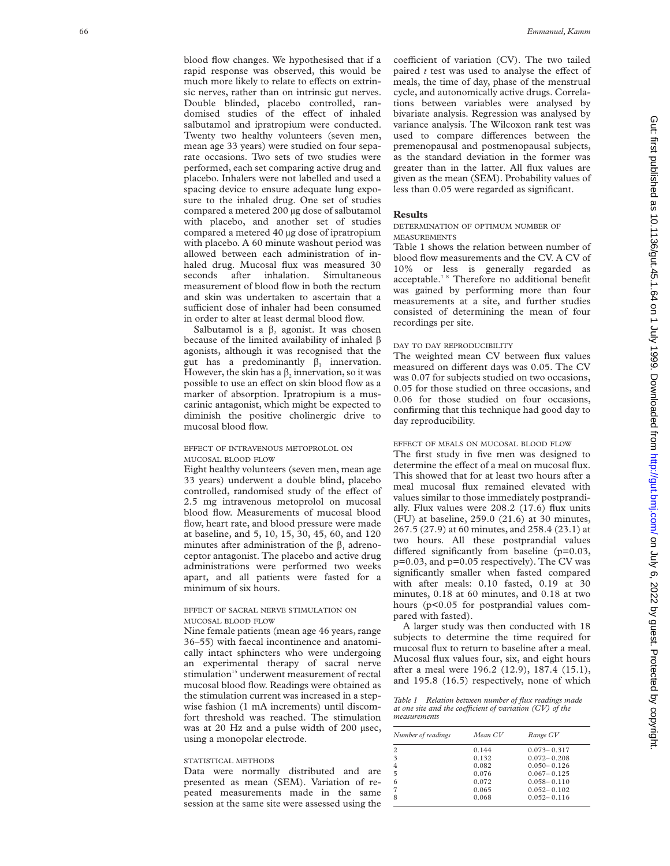blood flow changes. We hypothesised that if a rapid response was observed, this would be much more likely to relate to effects on extrinsic nerves, rather than on intrinsic gut nerves. Double blinded, placebo controlled, randomised studies of the effect of inhaled salbutamol and ipratropium were conducted. Twenty two healthy volunteers (seven men, mean age 33 years) were studied on four separate occasions. Two sets of two studies were performed, each set comparing active drug and placebo. Inhalers were not labelled and used a spacing device to ensure adequate lung exposure to the inhaled drug. One set of studies compared a metered 200 µg dose of salbutamol with placebo, and another set of studies compared a metered 40 µg dose of ipratropium with placebo. A 60 minute washout period was allowed between each administration of inhaled drug. Mucosal flux was measured 30 seconds after inhalation. Simultaneous measurement of blood flow in both the rectum and skin was undertaken to ascertain that a sufficient dose of inhaler had been consumed in order to alter at least dermal blood flow.

Salbutamol is a  $\beta_2$  agonist. It was chosen because of the limited availability of inhaled  $\beta$ agonists, although it was recognised that the gut has a predominantly  $\beta_1$  innervation. However, the skin has a  $\beta_2$  innervation, so it was possible to use an effect on skin blood flow as a marker of absorption. Ipratropium is a muscarinic antagonist, which might be expected to diminish the positive cholinergic drive to mucosal blood flow.

#### EFFECT OF INTRAVENOUS METOPROLOL ON MUCOSAL BLOOD FLOW

Eight healthy volunteers (seven men, mean age 33 years) underwent a double blind, placebo controlled, randomised study of the effect of 2.5 mg intravenous metoprolol on mucosal blood flow. Measurements of mucosal blood flow, heart rate, and blood pressure were made at baseline, and 5, 10, 15, 30, 45, 60, and 120 minutes after administration of the  $\beta_1$  adrenoceptor antagonist. The placebo and active drug administrations were performed two weeks apart, and all patients were fasted for a minimum of six hours.

## EFFECT OF SACRAL NERVE STIMULATION ON MUCOSAL BLOOD FLOW

Nine female patients (mean age 46 years, range 36–55) with faecal incontinence and anatomically intact sphincters who were undergoing an experimental therapy of sacral nerve stimulation<sup>15</sup> underwent measurement of rectal mucosal blood flow. Readings were obtained as the stimulation current was increased in a stepwise fashion (1 mA increments) until discomfort threshold was reached. The stimulation was at 20 Hz and a pulse width of 200 µsec, using a monopolar electrode.

## STATISTICAL METHODS

Data were normally distributed and are presented as mean (SEM). Variation of repeated measurements made in the same session at the same site were assessed using the

coefficient of variation (CV). The two tailed paired  $t$  test was used to analyse the effect of meals, the time of day, phase of the menstrual cycle, and autonomically active drugs. Correlations between variables were analysed by bivariate analysis. Regression was analysed by variance analysis. The Wilcoxon rank test was used to compare differences between the premenopausal and postmenopausal subjects, as the standard deviation in the former was greater than in the latter. All flux values are given as the mean (SEM). Probability values of less than 0.05 were regarded as significant.

## **Results**

DETERMINATION OF OPTIMUM NUMBER OF MEASUREMENTS

Table 1 shows the relation between number of blood flow measurements and the CV. A CV of 10% or less is generally regarded as acceptable.7 8 Therefore no additional benefit was gained by performing more than four measurements at a site, and further studies consisted of determining the mean of four recordings per site.

#### DAY TO DAY REPRODUCIBILITY

The weighted mean CV between flux values measured on different days was 0.05. The CV was 0.07 for subjects studied on two occasions, 0.05 for those studied on three occasions, and 0.06 for those studied on four occasions, confirming that this technique had good day to day reproducibility.

#### EFFECT OF MEALS ON MUCOSAL BLOOD FLOW

The first study in five men was designed to determine the effect of a meal on mucosal flux. This showed that for at least two hours after a meal mucosal flux remained elevated with values similar to those immediately postprandially. Flux values were 208.2 (17.6) flux units (FU) at baseline, 259.0 (21.6) at 30 minutes, 267.5 (27.9) at 60 minutes, and 258.4 (23.1) at two hours. All these postprandial values differed significantly from baseline (p=0.03, p=0.03, and p=0.05 respectively). The CV was significantly smaller when fasted compared with after meals: 0.10 fasted, 0.19 at 30 minutes, 0.18 at 60 minutes, and 0.18 at two hours (p<0.05 for postprandial values compared with fasted).

A larger study was then conducted with 18 subjects to determine the time required for mucosal flux to return to baseline after a meal. Mucosal flux values four, six, and eight hours after a meal were 196.2 (12.9), 187.4 (15.1), and 195.8 (16.5) respectively, none of which

*Table 1 Relation between number of flux readings made at one site and the coefficient of variation (CV) of the measurements*

| Number of readings | Mean CV | Range CV        |
|--------------------|---------|-----------------|
| 2                  | 0.144   | $0.073 - 0.317$ |
| 3                  | 0.132   | $0.072 - 0.208$ |
| 4                  | 0.082   | $0.050 - 0.126$ |
| 5                  | 0.076   | $0.067 - 0.125$ |
| 6                  | 0.072   | $0.058 - 0.110$ |
| 7                  | 0.065   | $0.052 - 0.102$ |
| 8                  | 0.068   | $0.052 - 0.116$ |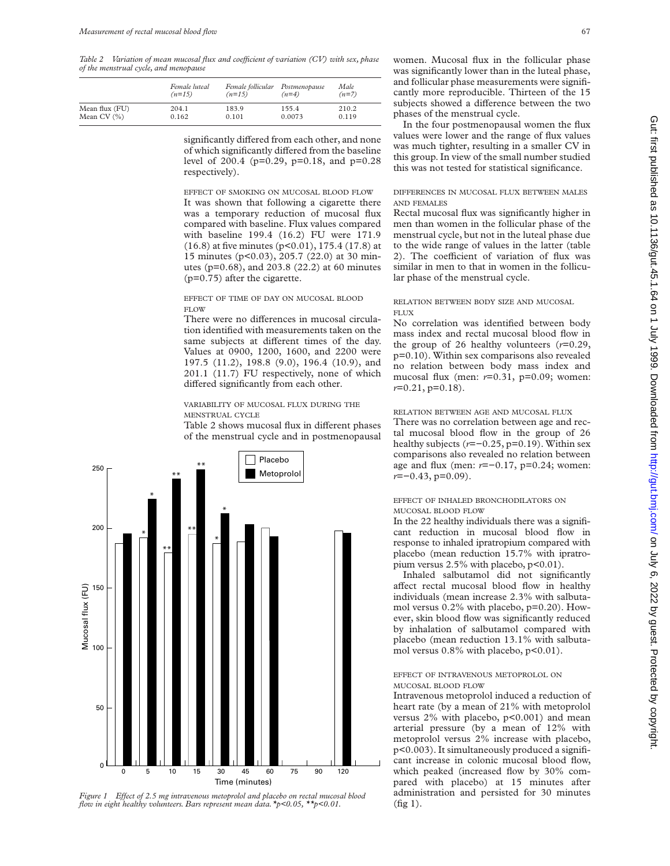*Table 2* Variation of mean mucosal flux and coefficient of variation (CV) with sex, phase *of the menstrual cycle, and menopause*

|                | Female luteal | Female follicular | Postmenopause | Male    |
|----------------|---------------|-------------------|---------------|---------|
|                | $(n=15)$      | $(n=15)$          | $(n=4)$       | $(n=7)$ |
| Mean flux (FU) | 204.1         | 183.9             | 155.4         | 210.2   |
| Mean CV $(%)$  | 0.162         | 0.101             | 0.0073        | 0.119   |

significantly differed from each other, and none of which significantly differed from the baseline level of 200.4 (p=0.29, p=0.18, and p=0.28 respectively).

EFFECT OF SMOKING ON MUCOSAL BLOOD FLOW It was shown that following a cigarette there was a temporary reduction of mucosal flux compared with baseline. Flux values compared with baseline 199.4 (16.2) FU were 171.9 (16.8) at five minutes (p<0.01), 175.4 (17.8) at 15 minutes (p<0.03), 205.7 (22.0) at 30 minutes (p=0.68), and 203.8 (22.2) at 60 minutes (p=0.75) after the cigarette.

## EFFECT OF TIME OF DAY ON MUCOSAL BLOOD FLOW

There were no differences in mucosal circulation identified with measurements taken on the same subjects at different times of the day. Values at 0900, 1200, 1600, and 2200 were 197.5 (11.2), 198.8 (9.0), 196.4 (10.9), and 201.1 (11.7) FU respectively, none of which differed significantly from each other.

## VARIABILITY OF MUCOSAL FLUX DURING THE MENSTRUAL CYCLE

Table 2 shows mucosal flux in different phases of the menstrual cycle and in postmenopausal



*Figure 1 Effect of 2.5 mg intravenous metoprolol and placebo on rectal mucosal blood flow in eight healthy volunteers. Bars represent mean data.\*p<0.05, \*\*p<0.01.*

women. Mucosal flux in the follicular phase was significantly lower than in the luteal phase, and follicular phase measurements were significantly more reproducible. Thirteen of the 15 subjects showed a difference between the two phases of the menstrual cycle.

In the four postmenopausal women the flux values were lower and the range of flux values was much tighter, resulting in a smaller CV in this group. In view of the small number studied this was not tested for statistical significance.

DIFFERENCES IN MUCOSAL FLUX BETWEEN MALES AND FEMALES

Rectal mucosal flux was significantly higher in men than women in the follicular phase of the menstrual cycle, but not in the luteal phase due to the wide range of values in the latter (table 2). The coefficient of variation of flux was similar in men to that in women in the follicular phase of the menstrual cycle.

#### RELATION BETWEEN BODY SIZE AND MUCOSAL FLUX

No correlation was identified between body mass index and rectal mucosal blood flow in the group of 26 healthy volunteers (*r*=0.29, p=0.10). Within sex comparisons also revealed no relation between body mass index and mucosal flux (men: *r*=0.31, p=0.09; women: *r*=0.21, p=0.18).

RELATION BETWEEN AGE AND MUCOSAL FLUX

There was no correlation between age and rectal mucosal blood flow in the group of 26 healthy subjects (*r*=−0.25, p=0.19). Within sex comparisons also revealed no relation between age and flux (men: *r*=−0.17, p=0.24; women: *r*=−0.43, p=0.09).

## EFFECT OF INHALED BRONCHODILATORS ON MUCOSAL BLOOD FLOW

In the 22 healthy individuals there was a significant reduction in mucosal blood flow in response to inhaled ipratropium compared with placebo (mean reduction 15.7% with ipratropium versus  $2.5\%$  with placebo,  $p<0.01$ ).

Inhaled salbutamol did not significantly affect rectal mucosal blood flow in healthy individuals (mean increase 2.3% with salbutamol versus 0.2% with placebo, p=0.20). However, skin blood flow was significantly reduced by inhalation of salbutamol compared with placebo (mean reduction 13.1% with salbutamol versus  $0.8\%$  with placebo,  $p<0.01$ ).

## EFFECT OF INTRAVENOUS METOPROLOL ON MUCOSAL BLOOD FLOW

Intravenous metoprolol induced a reduction of heart rate (by a mean of 21% with metoprolol versus 2% with placebo, p<0.001) and mean arterial pressure (by a mean of 12% with metoprolol versus 2% increase with placebo, p<0.003). It simultaneously produced a significant increase in colonic mucosal blood flow, which peaked (increased flow by 30% compared with placebo) at 15 minutes after administration and persisted for 30 minutes (fig 1).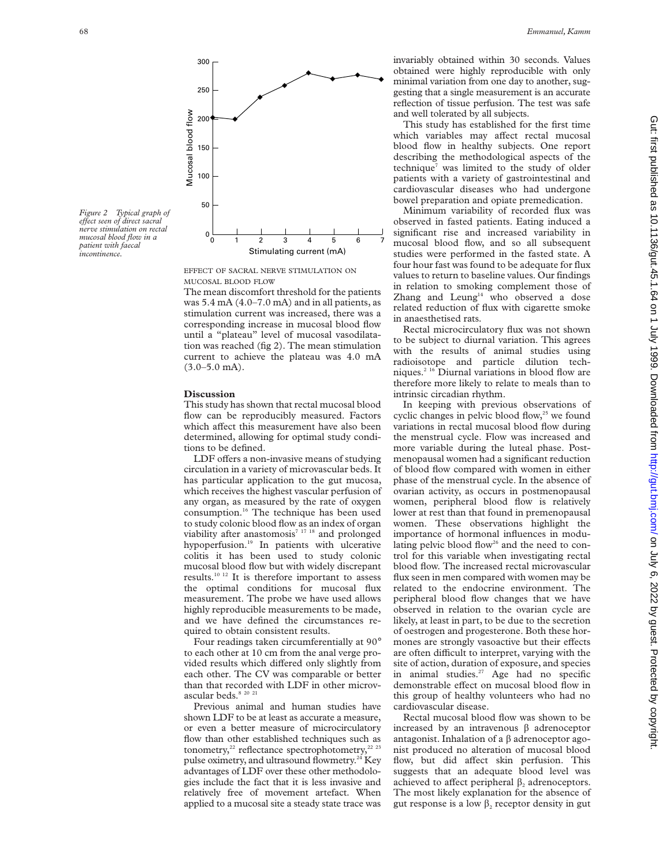

*Figure 2 Typical graph of eVect seen of direct sacral nerve stimulation on rectal mucosal blood flow in a patient with faecal incontinence.*

EFFECT OF SACRAL NERVE STIMULATION ON MUCOSAL BLOOD FLOW

The mean discomfort threshold for the patients was 5.4 mA (4.0–7.0 mA) and in all patients, as stimulation current was increased, there was a corresponding increase in mucosal blood flow until a "plateau" level of mucosal vasodilatation was reached (fig 2). The mean stimulation current to achieve the plateau was 4.0 mA (3.0–5.0 mA).

#### **Discussion**

This study has shown that rectal mucosal blood flow can be reproducibly measured. Factors which affect this measurement have also been determined, allowing for optimal study conditions to be defined.

LDF offers a non-invasive means of studying circulation in a variety of microvascular beds. It has particular application to the gut mucosa, which receives the highest vascular perfusion of any organ, as measured by the rate of oxygen consumption.<sup>16</sup> The technique has been used to study colonic blood flow as an index of organ viability after anastomosis<sup>7 17 18</sup> and prolonged hypoperfusion.<sup>19</sup> In patients with ulcerative colitis it has been used to study colonic mucosal blood flow but with widely discrepant results.10 12 It is therefore important to assess the optimal conditions for mucosal flux measurement. The probe we have used allows highly reproducible measurements to be made, and we have defined the circumstances required to obtain consistent results.

Four readings taken circumferentially at 90° to each other at 10 cm from the anal verge provided results which differed only slightly from each other. The CV was comparable or better than that recorded with LDF in other microvascular beds. $82021$ 

Previous animal and human studies have shown LDF to be at least as accurate a measure, or even a better measure of microcirculatory flow than other established techniques such as tonometry, $^{22}$  reflectance spectrophotometry, $^{22}$   $^{23}$ pulse oximetry, and ultrasound flowmetry.<sup>24</sup> Key advantages of LDF over these other methodologies include the fact that it is less invasive and relatively free of movement artefact. When applied to a mucosal site a steady state trace was invariably obtained within 30 seconds. Values obtained were highly reproducible with only minimal variation from one day to another, suggesting that a single measurement is an accurate reflection of tissue perfusion. The test was safe and well tolerated by all subjects.

This study has established for the first time which variables may affect rectal mucosal blood flow in healthy subjects. One report describing the methodological aspects of the technique<sup>7</sup> was limited to the study of older patients with a variety of gastrointestinal and cardiovascular diseases who had undergone bowel preparation and opiate premedication.

Minimum variability of recorded flux was observed in fasted patients. Eating induced a significant rise and increased variability in mucosal blood flow, and so all subsequent studies were performed in the fasted state. A four hour fast was found to be adequate for flux values to return to baseline values. Our findings in relation to smoking complement those of Zhang and Leung<sup>14</sup> who observed a dose related reduction of flux with cigarette smoke in anaesthetised rats.

Rectal microcirculatory flux was not shown to be subject to diurnal variation. This agrees with the results of animal studies using radioisotope and particle dilution techniques.2 16 Diurnal variations in blood flow are therefore more likely to relate to meals than to intrinsic circadian rhythm.

In keeping with previous observations of cyclic changes in pelvic blood flow, $25$  we found variations in rectal mucosal blood flow during the menstrual cycle. Flow was increased and more variable during the luteal phase. Postmenopausal women had a significant reduction of blood flow compared with women in either phase of the menstrual cycle. In the absence of ovarian activity, as occurs in postmenopausal women, peripheral blood flow is relatively lower at rest than that found in premenopausal women. These observations highlight the importance of hormonal influences in modulating pelvic blood flow<sup>26</sup> and the need to control for this variable when investigating rectal blood flow. The increased rectal microvascular flux seen in men compared with women may be related to the endocrine environment. The peripheral blood flow changes that we have observed in relation to the ovarian cycle are likely, at least in part, to be due to the secretion of oestrogen and progesterone. Both these hormones are strongly vasoactive but their effects are often difficult to interpret, varying with the site of action, duration of exposure, and species in animal studies.27 Age had no specific demonstrable effect on mucosal blood flow in this group of healthy volunteers who had no cardiovascular disease.

Rectal mucosal blood flow was shown to be increased by an intravenous  $\beta$  adrenoceptor antagonist. Inhalation of a  $\beta$  adrenoceptor agonist produced no alteration of mucosal blood flow, but did affect skin perfusion. This suggests that an adequate blood level was achieved to affect peripheral  $\beta$ , adrenoceptors. The most likely explanation for the absence of gut response is a low  $\beta_2$  receptor density in gut